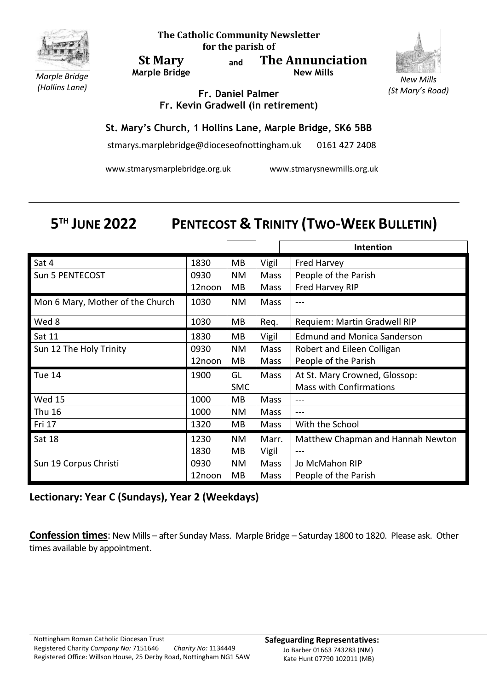

**The Catholic Community Newsletter for the parish of**

**St Mary Marple Bridge** **and The Annunciation New Mills**



*(St Mary's Road)*

*Marple Bridge (Hollins Lane)*

**Fr. Daniel Palmer Fr. Kevin Gradwell (in retirement)**

## **St. Mary's Church, 1 Hollins Lane, Marple Bridge, SK6 5BB**

stmarys.marplebridge@dioceseofnottingham.uk 0161 427 2408

www.stmarysmarplebridge.org.uk www.stmarysnewmills.org.uk

## 5<sup>TH</sup> JUNE 2022 **PENTECOST & TRINITY (TWO-WEEK BULLETIN)**

|                                  |        |            |       | Intention                          |
|----------------------------------|--------|------------|-------|------------------------------------|
| Sat 4                            | 1830   | МB         | Vigil | <b>Fred Harvey</b>                 |
| Sun 5 PENTECOST                  | 0930   | <b>NM</b>  | Mass  | People of the Parish               |
|                                  | 12noon | MB         | Mass  | Fred Harvey RIP                    |
| Mon 6 Mary, Mother of the Church | 1030   | NM         | Mass  | ---                                |
| Wed 8                            | 1030   | MВ         | Req.  | Requiem: Martin Gradwell RIP       |
| Sat 11                           | 1830   | MВ         | Vigil | <b>Edmund and Monica Sanderson</b> |
| Sun 12 The Holy Trinity          | 0930   | NM         | Mass  | Robert and Eileen Colligan         |
|                                  | 12noon | MB         | Mass  | People of the Parish               |
| Tue 14                           | 1900   | GL         | Mass  | At St. Mary Crowned, Glossop:      |
|                                  |        | <b>SMC</b> |       | <b>Mass with Confirmations</b>     |
| <b>Wed 15</b>                    | 1000   | МB         | Mass  | ---                                |
| Thu 16                           | 1000   | NM.        | Mass  |                                    |
| Fri 17                           | 1320   | MВ         | Mass  | With the School                    |
| Sat 18                           | 1230   | <b>NM</b>  | Marr. | Matthew Chapman and Hannah Newton  |
|                                  | 1830   | MВ         | Vigil |                                    |
| Sun 19 Corpus Christi            | 0930   | <b>NM</b>  | Mass  | Jo McMahon RIP                     |
|                                  | 12noon | MB         | Mass  | People of the Parish               |

## **Lectionary: Year C (Sundays), Year 2 (Weekdays)**

**Confession times**: New Mills – after Sunday Mass. Marple Bridge – Saturday 1800 to 1820. Please ask. Other times available by appointment.